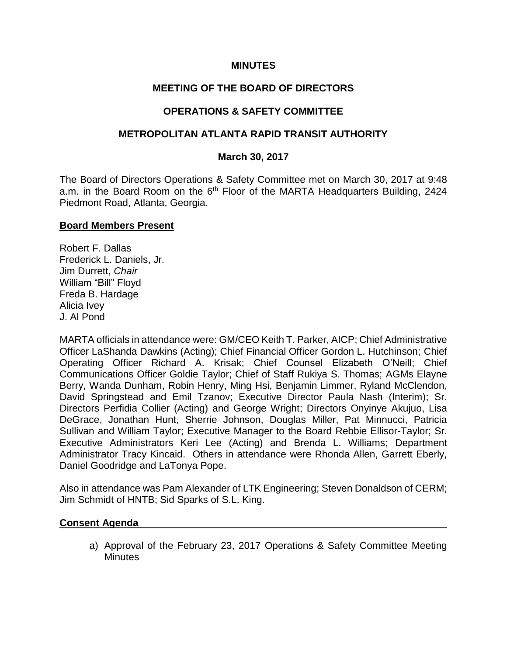### **MINUTES**

## **MEETING OF THE BOARD OF DIRECTORS**

## **OPERATIONS & SAFETY COMMITTEE**

### **METROPOLITAN ATLANTA RAPID TRANSIT AUTHORITY**

#### **March 30, 2017**

The Board of Directors Operations & Safety Committee met on March 30, 2017 at 9:48 a.m. in the Board Room on the  $6<sup>th</sup>$  Floor of the MARTA Headquarters Building, 2424 Piedmont Road, Atlanta, Georgia.

#### **Board Members Present**

Robert F. Dallas Frederick L. Daniels, Jr. Jim Durrett, *Chair* William "Bill" Floyd Freda B. Hardage Alicia Ivey J. Al Pond

MARTA officials in attendance were: GM/CEO Keith T. Parker, AICP; Chief Administrative Officer LaShanda Dawkins (Acting); Chief Financial Officer Gordon L. Hutchinson; Chief Operating Officer Richard A. Krisak; Chief Counsel Elizabeth O'Neill; Chief Communications Officer Goldie Taylor; Chief of Staff Rukiya S. Thomas; AGMs Elayne Berry, Wanda Dunham, Robin Henry, Ming Hsi, Benjamin Limmer, Ryland McClendon, David Springstead and Emil Tzanov; Executive Director Paula Nash (Interim); Sr. Directors Perfidia Collier (Acting) and George Wright; Directors Onyinye Akujuo, Lisa DeGrace, Jonathan Hunt, Sherrie Johnson, Douglas Miller, Pat Minnucci, Patricia Sullivan and William Taylor; Executive Manager to the Board Rebbie Ellisor-Taylor; Sr. Executive Administrators Keri Lee (Acting) and Brenda L. Williams; Department Administrator Tracy Kincaid. Others in attendance were Rhonda Allen, Garrett Eberly, Daniel Goodridge and LaTonya Pope.

Also in attendance was Pam Alexander of LTK Engineering; Steven Donaldson of CERM; Jim Schmidt of HNTB; Sid Sparks of S.L. King.

#### **Consent Agenda**

a) Approval of the February 23, 2017 Operations & Safety Committee Meeting **Minutes**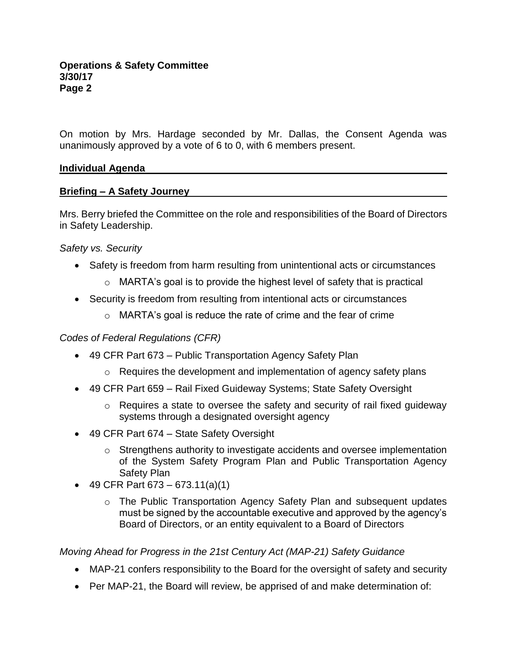On motion by Mrs. Hardage seconded by Mr. Dallas, the Consent Agenda was unanimously approved by a vote of 6 to 0, with 6 members present.

## **Individual Agenda**

# **Briefing – A Safety Journey**

Mrs. Berry briefed the Committee on the role and responsibilities of the Board of Directors in Safety Leadership.

*Safety vs. Security*

- Safety is freedom from harm resulting from unintentional acts or circumstances
	- o MARTA's goal is to provide the highest level of safety that is practical
- Security is freedom from resulting from intentional acts or circumstances
	- o MARTA's goal is reduce the rate of crime and the fear of crime

# *Codes of Federal Regulations (CFR)*

- 49 CFR Part 673 Public Transportation Agency Safety Plan
	- $\circ$  Requires the development and implementation of agency safety plans
- 49 CFR Part 659 Rail Fixed Guideway Systems; State Safety Oversight
	- o Requires a state to oversee the safety and security of rail fixed guideway systems through a designated oversight agency
- 49 CFR Part 674 State Safety Oversight
	- $\circ$  Strengthens authority to investigate accidents and oversee implementation of the System Safety Program Plan and Public Transportation Agency Safety Plan
- 49 CFR Part  $673 673.11(a)(1)$ 
	- o The Public Transportation Agency Safety Plan and subsequent updates must be signed by the accountable executive and approved by the agency's Board of Directors, or an entity equivalent to a Board of Directors

*Moving Ahead for Progress in the 21st Century Act (MAP-21) Safety Guidance*

- MAP-21 confers responsibility to the Board for the oversight of safety and security
- Per MAP-21, the Board will review, be apprised of and make determination of: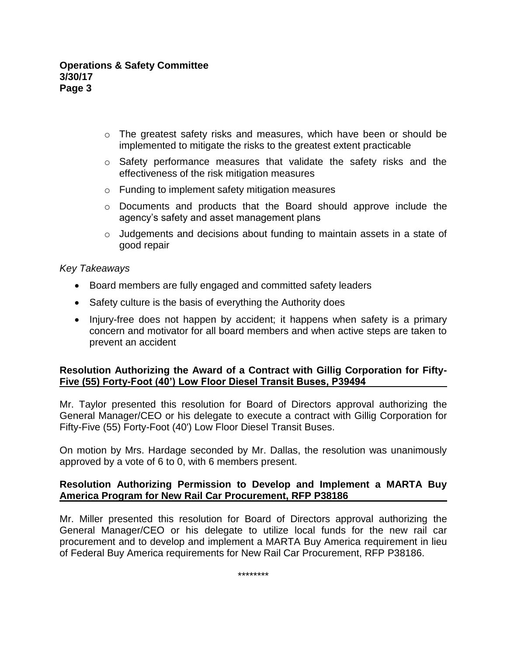- $\circ$  The greatest safety risks and measures, which have been or should be implemented to mitigate the risks to the greatest extent practicable
- o Safety performance measures that validate the safety risks and the effectiveness of the risk mitigation measures
- o Funding to implement safety mitigation measures
- o Documents and products that the Board should approve include the agency's safety and asset management plans
- $\circ$  Judgements and decisions about funding to maintain assets in a state of good repair

*Key Takeaways*

- Board members are fully engaged and committed safety leaders
- Safety culture is the basis of everything the Authority does
- Injury-free does not happen by accident; it happens when safety is a primary concern and motivator for all board members and when active steps are taken to prevent an accident

## **Resolution Authorizing the Award of a Contract with Gillig Corporation for Fifty-Five (55) Forty-Foot (40') Low Floor Diesel Transit Buses, P39494**

Mr. Taylor presented this resolution for Board of Directors approval authorizing the General Manager/CEO or his delegate to execute a contract with Gillig Corporation for Fifty-Five (55) Forty-Foot (40') Low Floor Diesel Transit Buses.

On motion by Mrs. Hardage seconded by Mr. Dallas, the resolution was unanimously approved by a vote of 6 to 0, with 6 members present.

# **Resolution Authorizing Permission to Develop and Implement a MARTA Buy America Program for New Rail Car Procurement, RFP P38186**

Mr. Miller presented this resolution for Board of Directors approval authorizing the General Manager/CEO or his delegate to utilize local funds for the new rail car procurement and to develop and implement a MARTA Buy America requirement in lieu of Federal Buy America requirements for New Rail Car Procurement, RFP P38186.

\*\*\*\*\*\*\*\*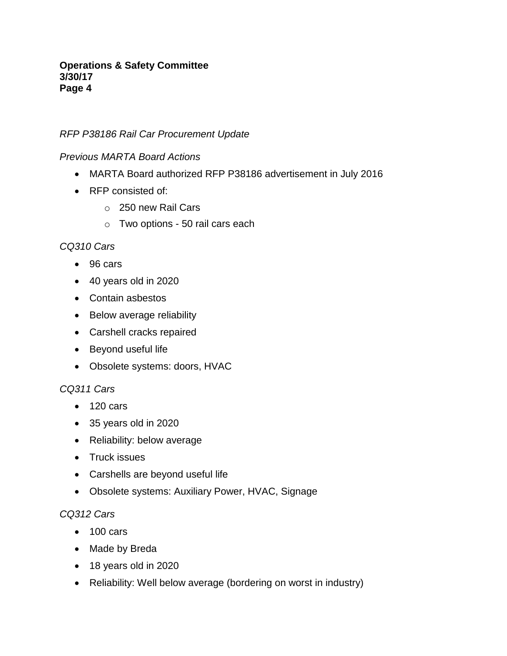# *RFP P38186 Rail Car Procurement Update*

## *Previous MARTA Board Actions*

- MARTA Board authorized RFP P38186 advertisement in July 2016
- RFP consisted of:
	- o 250 new Rail Cars
	- o Two options 50 rail cars each

## *CQ310 Cars*

- 96 cars
- 40 years old in 2020
- Contain asbestos
- Below average reliability
- Carshell cracks repaired
- Beyond useful life
- Obsolete systems: doors, HVAC

# *CQ311 Cars*

- 120 cars
- 35 years old in 2020
- Reliability: below average
- Truck issues
- Carshells are beyond useful life
- Obsolete systems: Auxiliary Power, HVAC, Signage

## *CQ312 Cars*

- 100 cars
- Made by Breda
- 18 years old in 2020
- Reliability: Well below average (bordering on worst in industry)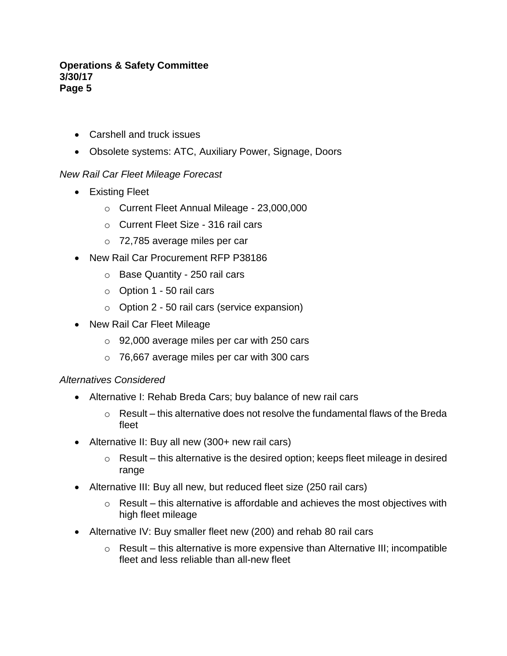- Carshell and truck issues
- Obsolete systems: ATC, Auxiliary Power, Signage, Doors

# *New Rail Car Fleet Mileage Forecast*

- Existing Fleet
	- o Current Fleet Annual Mileage 23,000,000
	- o Current Fleet Size 316 rail cars
	- o 72,785 average miles per car
- New Rail Car Procurement RFP P38186
	- o Base Quantity 250 rail cars
	- $\circ$  Option 1 50 rail cars
	- o Option 2 50 rail cars (service expansion)
- New Rail Car Fleet Mileage
	- o 92,000 average miles per car with 250 cars
	- o 76,667 average miles per car with 300 cars

## *Alternatives Considered*

- Alternative I: Rehab Breda Cars; buy balance of new rail cars
	- $\circ$  Result this alternative does not resolve the fundamental flaws of the Breda fleet
- Alternative II: Buy all new (300+ new rail cars)
	- $\circ$  Result this alternative is the desired option; keeps fleet mileage in desired range
- Alternative III: Buy all new, but reduced fleet size (250 rail cars)
	- $\circ$  Result this alternative is affordable and achieves the most objectives with high fleet mileage
- Alternative IV: Buy smaller fleet new (200) and rehab 80 rail cars
	- $\circ$  Result this alternative is more expensive than Alternative III; incompatible fleet and less reliable than all-new fleet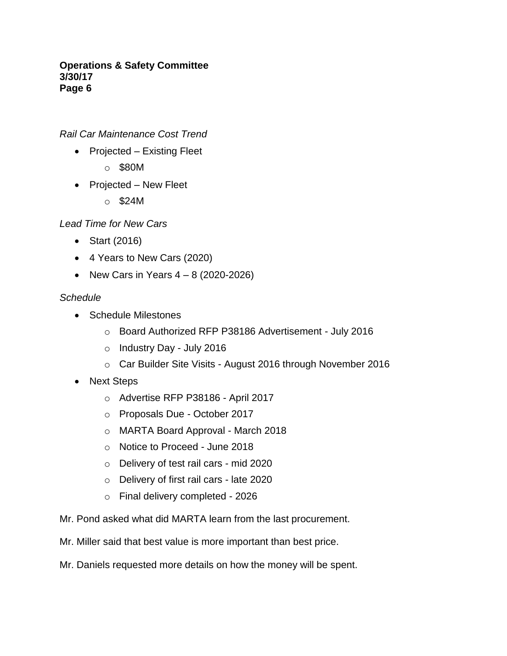*Rail Car Maintenance Cost Trend*

- Projected Existing Fleet
	- o \$80M
- Projected New Fleet
	- o \$24M

*Lead Time for New Cars*

- Start (2016)
- 4 Years to New Cars (2020)
- New Cars in Years  $4 8$  (2020-2026)

# *Schedule*

- Schedule Milestones
	- o Board Authorized RFP P38186 Advertisement July 2016
	- o Industry Day July 2016
	- o Car Builder Site Visits August 2016 through November 2016
- Next Steps
	- o Advertise RFP P38186 April 2017
	- o Proposals Due October 2017
	- o MARTA Board Approval March 2018
	- o Notice to Proceed June 2018
	- o Delivery of test rail cars mid 2020
	- o Delivery of first rail cars late 2020
	- o Final delivery completed 2026
- Mr. Pond asked what did MARTA learn from the last procurement.
- Mr. Miller said that best value is more important than best price.
- Mr. Daniels requested more details on how the money will be spent.